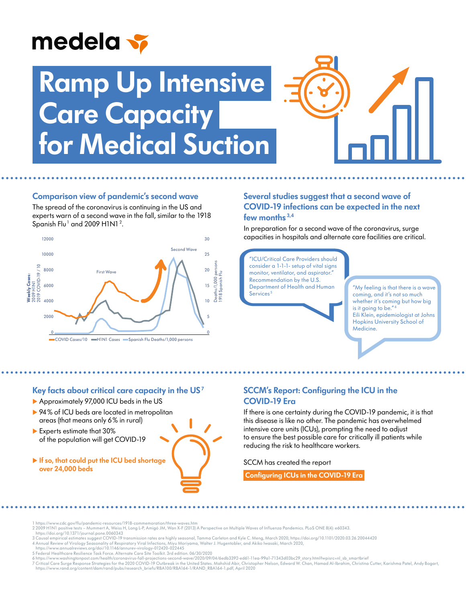# medela v

# **Ramp Up Intensive Care Capacity for Medical Suction**



### **Comparison view of pandemic's second wave**

The spread of the coronavirus is continuing in the US and experts warn of a second wave in the fall, similar to the 1918 Spanish Flu<sup>1</sup> and 2009 H1N1<sup>2</sup>.



#### **Several studies suggest that a second wave of COVID-19 infections can be expected in the next few months 3,4**

In preparation for a second wave of the coronavirus, surge capacities in hospitals and alternate care facilities are critical.

"ICU/Critical Care Providers should consider a 1-1-1- setup of vital signs monitor, ventilator, and aspirator." Recommendation by the U.S. Department of Health and Human Services<sup>5</sup>

"My feeling is that there is a wave coming, and it's not so much whether it's coming but how big is it going to be." <sup>6</sup> Eili Klein, epidemiologist at Johns Hopkins University School of Medicine.

#### **Key facts about critical care capacity in the US <sup>7</sup>**

- Approximately 97,000 ICU beds in the US
- ▶ 94% of ICU beds are located in metropolitan areas (that means only 6% in rural)
- Experts estimate that 30% of the population will get COVID-19
- **If so, that could put the ICU bed shortage over 24,000 beds**

## **SCCM's Report: Configuring the ICU in the COVID-19 Era**

If there is one certainty during the COVID-19 pandemic, it is that this disease is like no other. The pandemic has overwhelmed intensive care units (ICUs), prompting the need to adjust to ensure the best possible care for critically ill patients while reducing the risk to healthcare workers.

SCCM has created the report

 **[Configuring ICUs in the COVID-19 Era](https://www.sccm.org/getattachment/03130f42-5350-4456-be9f-b9407194938d/Configuring-ICUs-in-the-COVID-19-Era-A-Collection)** 

- 1 https://www.cdc.gov/flu/pandemic-resources/1918-commemoration/three-waves.htm
- 2 2009 H1N1 positive tests Mummert A, Weiss H, Long L-P, Amigó JM, Wan X-F (2013) A Perspective on Multiple Waves of Influenza Pandemics. PLoS ONE 8(4): e60343. https://doi.org/10.1371/journal.pone.0060343
- 
- 3 Causal empirical estimates suggest COVID-19 transmission rates are highly seasonal, Tamma Carleton and Kyle C. Meng, March 2020, https://doi.org/10.1101/2020.03.26.20044420 4 Annual Review of Virology Seasonality of Respiratory Viral Infections, Miyu Moriyama, Walter J. Hugentobler, and Akiko Iwasaki, March 2020,
- https://www.annualreviews.org/doi/10.1146/annurev-virology-012420-022445
- 5 Federal Healthcare Resilience Task Force. Alternate Care Site Toolkit. 3rd edition. 06/30/2020
- 
- 6 https://www.washingtonpost.com/health/coronavirus-fall-projections-second-wave/2020/09/04/6edb3392-ed61-11ea-99a1-71343d03bc29\_story.html?wpisrc=nl\_sb\_smartbrief<br>7 Critical Care Surge Response Strategies for the 2020 COV https://www.rand.org/content/dam/rand/pubs/research\_briefs/RBA100/RBA164-1/RAND\_RBA164-1.pdf, April 2020